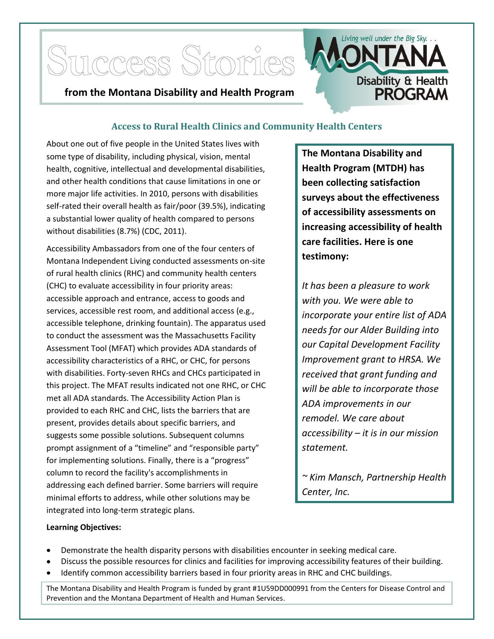

## **Access to Rural Health Clinics and Community Health Centers**

About one out of five people in the United States lives with some type of disability, including physical, vision, mental health, cognitive, intellectual and developmental disabilities, and other health conditions that cause limitations in one or more major life activities. In 2010, persons with disabilities self-rated their overall health as fair/poor (39.5%), indicating a substantial lower quality of health compared to persons without disabilities (8.7%) (CDC, 2011).

Accessibility Ambassadors from one of the four centers of Montana Independent Living conducted assessments on-site of rural health clinics (RHC) and community health centers (CHC) to evaluate accessibility in four priority areas: accessible approach and entrance, access to goods and services, accessible rest room, and additional access (e.g., accessible telephone, drinking fountain). The apparatus used to conduct the assessment was the Massachusetts Facility Assessment Tool (MFAT) which provides ADA standards of accessibility characteristics of a RHC, or CHC, for persons with disabilities. Forty-seven RHCs and CHCs participated in this project. The MFAT results indicated not one RHC, or CHC met all ADA standards. The Accessibility Action Plan is provided to each RHC and CHC, lists the barriers that are present, provides details about specific barriers, and suggests some possible solutions. Subsequent columns prompt assignment of a "timeline" and "responsible party" for implementing solutions. Finally, there is a "progress" column to record the facility's accomplishments in addressing each defined barrier. Some barriers will require minimal efforts to address, while other solutions may be integrated into long-term strategic plans.

**The Montana Disability and Health Program (MTDH) has been collecting satisfaction surveys about the effectiveness of accessibility assessments on increasing accessibility of health care facilities. Here is one testimony:**

*It has been a pleasure to work with you. We were able to incorporate your entire list of ADA needs for our Alder Building into our Capital Development Facility Improvement grant to HRSA. We received that grant funding and will be able to incorporate those ADA improvements in our remodel. We care about accessibility – it is in our mission statement.*

*~ Kim Mansch, Partnership Health Center, Inc.*

## **Learning Objectives:**

- Demonstrate the health disparity persons with disabilities encounter in seeking medical care.
- Discuss the possible resources for clinics and facilities for improving accessibility features of their building.
- Identify common accessibility barriers based in four priority areas in RHC and CHC buildings.

The Montana Disability and Health Program is funded by grant #1U59DD000991 from the Centers for Disease Control and Prevention and the Montana Department of Health and Human Services.